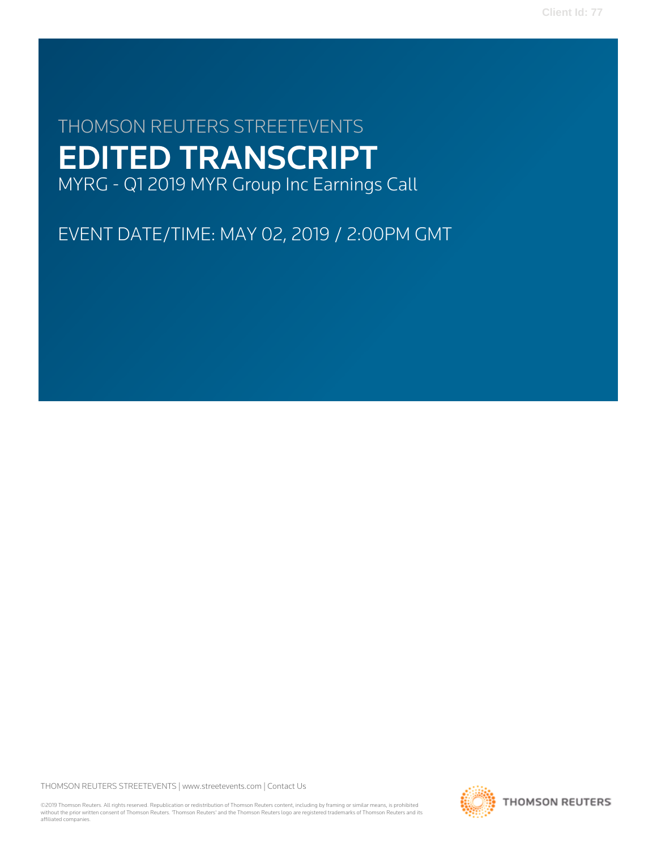# THOMSON REUTERS STREETEVENTS EDITED TRANSCRIPT MYRG - Q1 2019 MYR Group Inc Earnings Call

EVENT DATE/TIME: MAY 02, 2019 / 2:00PM GMT

THOMSON REUTERS STREETEVENTS | [www.streetevents.com](http://www.streetevents.com) | [Contact Us](http://www010.streetevents.com/contact.asp)

©2019 Thomson Reuters. All rights reserved. Republication or redistribution of Thomson Reuters content, including by framing or similar means, is prohibited without the prior written consent of Thomson Reuters. 'Thomson Reuters' and the Thomson Reuters logo are registered trademarks of Thomson Reuters and its affiliated companies.

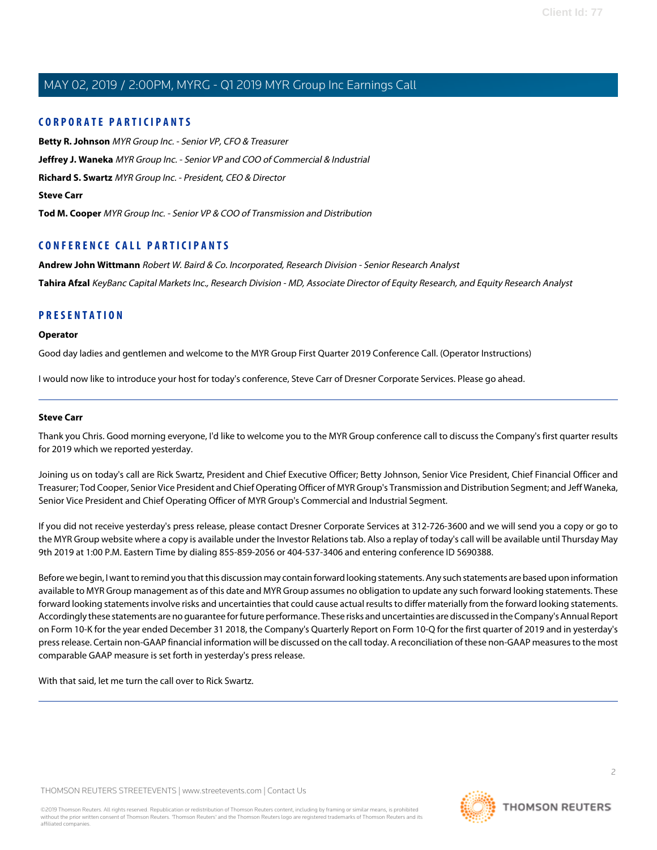# **CORPORATE PARTICIPANTS**

**[Betty R. Johnson](#page-2-0)** MYR Group Inc. - Senior VP, CFO & Treasurer **[Jeffrey J. Waneka](#page-4-0)** MYR Group Inc. - Senior VP and COO of Commercial & Industrial **[Richard S. Swartz](#page-2-1)** MYR Group Inc. - President, CEO & Director **[Steve Carr](#page-1-0) [Tod M. Cooper](#page-3-0)** MYR Group Inc. - Senior VP & COO of Transmission and Distribution

# **CONFERENCE CALL PARTICIPANTS**

**[Andrew John Wittmann](#page-6-0)** Robert W. Baird & Co. Incorporated, Research Division - Senior Research Analyst

**[Tahira Afzal](#page-5-0)** KeyBanc Capital Markets Inc., Research Division - MD, Associate Director of Equity Research, and Equity Research Analyst

# **PRESENTATION**

#### **Operator**

Good day ladies and gentlemen and welcome to the MYR Group First Quarter 2019 Conference Call. (Operator Instructions)

<span id="page-1-0"></span>I would now like to introduce your host for today's conference, Steve Carr of Dresner Corporate Services. Please go ahead.

#### **Steve Carr**

Thank you Chris. Good morning everyone, I'd like to welcome you to the MYR Group conference call to discuss the Company's first quarter results for 2019 which we reported yesterday.

Joining us on today's call are Rick Swartz, President and Chief Executive Officer; Betty Johnson, Senior Vice President, Chief Financial Officer and Treasurer; Tod Cooper, Senior Vice President and Chief Operating Officer of MYR Group's Transmission and Distribution Segment; and Jeff Waneka, Senior Vice President and Chief Operating Officer of MYR Group's Commercial and Industrial Segment.

If you did not receive yesterday's press release, please contact Dresner Corporate Services at 312-726-3600 and we will send you a copy or go to the MYR Group website where a copy is available under the Investor Relations tab. Also a replay of today's call will be available until Thursday May 9th 2019 at 1:00 P.M. Eastern Time by dialing 855-859-2056 or 404-537-3406 and entering conference ID 5690388.

Before we begin, I want to remind you that this discussion may contain forward looking statements. Any such statements are based upon information available to MYR Group management as of this date and MYR Group assumes no obligation to update any such forward looking statements. These forward looking statements involve risks and uncertainties that could cause actual results to differ materially from the forward looking statements. Accordingly these statements are no guarantee for future performance. These risks and uncertainties are discussed in the Company's Annual Report on Form 10-K for the year ended December 31 2018, the Company's Quarterly Report on Form 10-Q for the first quarter of 2019 and in yesterday's press release. Certain non-GAAP financial information will be discussed on the call today. A reconciliation of these non-GAAP measures to the most comparable GAAP measure is set forth in yesterday's press release.

With that said, let me turn the call over to Rick Swartz.

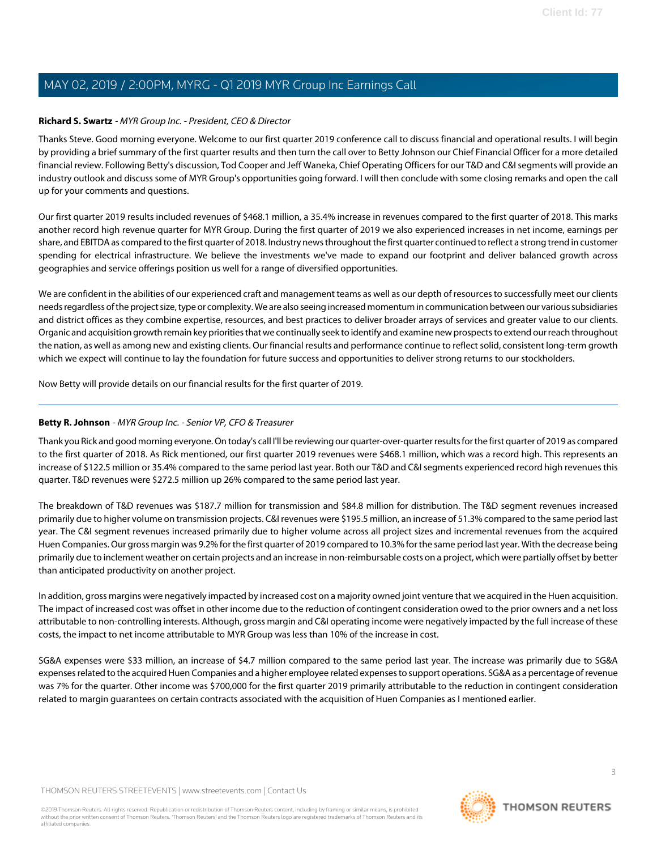# <span id="page-2-1"></span>**Richard S. Swartz** - MYR Group Inc. - President, CEO & Director

Thanks Steve. Good morning everyone. Welcome to our first quarter 2019 conference call to discuss financial and operational results. I will begin by providing a brief summary of the first quarter results and then turn the call over to Betty Johnson our Chief Financial Officer for a more detailed financial review. Following Betty's discussion, Tod Cooper and Jeff Waneka, Chief Operating Officers for our T&D and C&I segments will provide an industry outlook and discuss some of MYR Group's opportunities going forward. I will then conclude with some closing remarks and open the call up for your comments and questions.

Our first quarter 2019 results included revenues of \$468.1 million, a 35.4% increase in revenues compared to the first quarter of 2018. This marks another record high revenue quarter for MYR Group. During the first quarter of 2019 we also experienced increases in net income, earnings per share, and EBITDA as compared to the first quarter of 2018. Industry news throughout the first quarter continued to reflect a strong trend in customer spending for electrical infrastructure. We believe the investments we've made to expand our footprint and deliver balanced growth across geographies and service offerings position us well for a range of diversified opportunities.

We are confident in the abilities of our experienced craft and management teams as well as our depth of resources to successfully meet our clients needs regardless of the project size, type or complexity. We are also seeing increased momentum in communication between our various subsidiaries and district offices as they combine expertise, resources, and best practices to deliver broader arrays of services and greater value to our clients. Organic and acquisition growth remain key priorities that we continually seek to identify and examine new prospects to extend our reach throughout the nation, as well as among new and existing clients. Our financial results and performance continue to reflect solid, consistent long-term growth which we expect will continue to lay the foundation for future success and opportunities to deliver strong returns to our stockholders.

<span id="page-2-0"></span>Now Betty will provide details on our financial results for the first quarter of 2019.

# **Betty R. Johnson** - MYR Group Inc. - Senior VP, CFO & Treasurer

Thank you Rick and good morning everyone. On today's call I'll be reviewing our quarter-over-quarter results for the first quarter of 2019 as compared to the first quarter of 2018. As Rick mentioned, our first quarter 2019 revenues were \$468.1 million, which was a record high. This represents an increase of \$122.5 million or 35.4% compared to the same period last year. Both our T&D and C&I segments experienced record high revenues this quarter. T&D revenues were \$272.5 million up 26% compared to the same period last year.

The breakdown of T&D revenues was \$187.7 million for transmission and \$84.8 million for distribution. The T&D segment revenues increased primarily due to higher volume on transmission projects. C&I revenues were \$195.5 million, an increase of 51.3% compared to the same period last year. The C&I segment revenues increased primarily due to higher volume across all project sizes and incremental revenues from the acquired Huen Companies. Our gross margin was 9.2% for the first quarter of 2019 compared to 10.3% for the same period last year. With the decrease being primarily due to inclement weather on certain projects and an increase in non-reimbursable costs on a project, which were partially offset by better than anticipated productivity on another project.

In addition, gross margins were negatively impacted by increased cost on a majority owned joint venture that we acquired in the Huen acquisition. The impact of increased cost was offset in other income due to the reduction of contingent consideration owed to the prior owners and a net loss attributable to non-controlling interests. Although, gross margin and C&I operating income were negatively impacted by the full increase of these costs, the impact to net income attributable to MYR Group was less than 10% of the increase in cost.

SG&A expenses were \$33 million, an increase of \$4.7 million compared to the same period last year. The increase was primarily due to SG&A expenses related to the acquired Huen Companies and a higher employee related expenses to support operations. SG&A as a percentage of revenue was 7% for the quarter. Other income was \$700,000 for the first quarter 2019 primarily attributable to the reduction in contingent consideration related to margin guarantees on certain contracts associated with the acquisition of Huen Companies as I mentioned earlier.

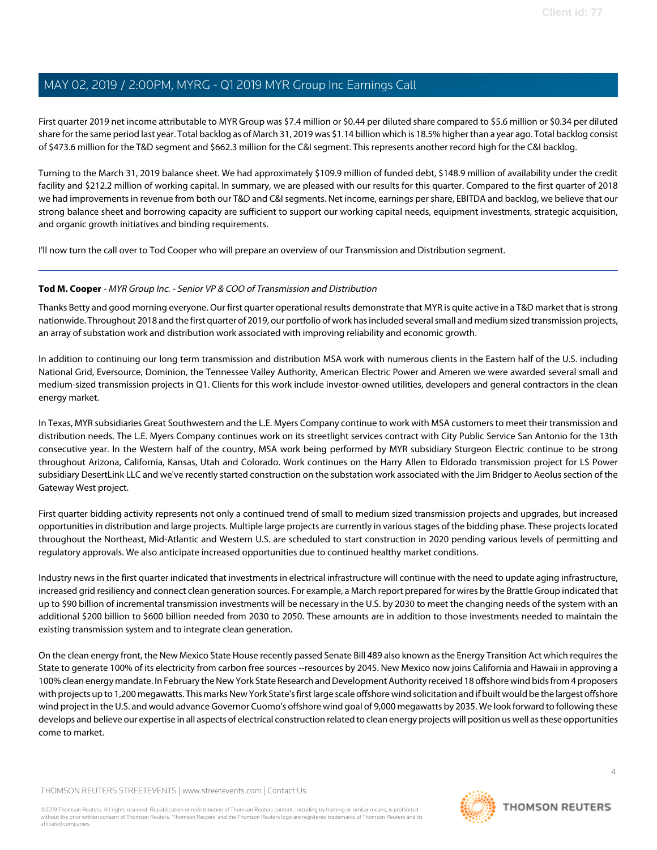First quarter 2019 net income attributable to MYR Group was \$7.4 million or \$0.44 per diluted share compared to \$5.6 million or \$0.34 per diluted share for the same period last year. Total backlog as of March 31, 2019 was \$1.14 billion which is 18.5% higher than a year ago. Total backlog consist of \$473.6 million for the T&D segment and \$662.3 million for the C&I segment. This represents another record high for the C&I backlog.

Turning to the March 31, 2019 balance sheet. We had approximately \$109.9 million of funded debt, \$148.9 million of availability under the credit facility and \$212.2 million of working capital. In summary, we are pleased with our results for this quarter. Compared to the first quarter of 2018 we had improvements in revenue from both our T&D and C&I segments. Net income, earnings per share, EBITDA and backlog, we believe that our strong balance sheet and borrowing capacity are sufficient to support our working capital needs, equipment investments, strategic acquisition, and organic growth initiatives and binding requirements.

<span id="page-3-0"></span>I'll now turn the call over to Tod Cooper who will prepare an overview of our Transmission and Distribution segment.

## **Tod M. Cooper** - MYR Group Inc. - Senior VP & COO of Transmission and Distribution

Thanks Betty and good morning everyone. Our first quarter operational results demonstrate that MYR is quite active in a T&D market that is strong nationwide. Throughout 2018 and the first quarter of 2019, our portfolio of work has included several small and medium sized transmission projects, an array of substation work and distribution work associated with improving reliability and economic growth.

In addition to continuing our long term transmission and distribution MSA work with numerous clients in the Eastern half of the U.S. including National Grid, Eversource, Dominion, the Tennessee Valley Authority, American Electric Power and Ameren we were awarded several small and medium-sized transmission projects in Q1. Clients for this work include investor-owned utilities, developers and general contractors in the clean energy market.

In Texas, MYR subsidiaries Great Southwestern and the L.E. Myers Company continue to work with MSA customers to meet their transmission and distribution needs. The L.E. Myers Company continues work on its streetlight services contract with City Public Service San Antonio for the 13th consecutive year. In the Western half of the country, MSA work being performed by MYR subsidiary Sturgeon Electric continue to be strong throughout Arizona, California, Kansas, Utah and Colorado. Work continues on the Harry Allen to Eldorado transmission project for LS Power subsidiary DesertLink LLC and we've recently started construction on the substation work associated with the Jim Bridger to Aeolus section of the Gateway West project.

First quarter bidding activity represents not only a continued trend of small to medium sized transmission projects and upgrades, but increased opportunities in distribution and large projects. Multiple large projects are currently in various stages of the bidding phase. These projects located throughout the Northeast, Mid-Atlantic and Western U.S. are scheduled to start construction in 2020 pending various levels of permitting and regulatory approvals. We also anticipate increased opportunities due to continued healthy market conditions.

Industry news in the first quarter indicated that investments in electrical infrastructure will continue with the need to update aging infrastructure, increased grid resiliency and connect clean generation sources. For example, a March report prepared for wires by the Brattle Group indicated that up to \$90 billion of incremental transmission investments will be necessary in the U.S. by 2030 to meet the changing needs of the system with an additional \$200 billion to \$600 billion needed from 2030 to 2050. These amounts are in addition to those investments needed to maintain the existing transmission system and to integrate clean generation.

On the clean energy front, the New Mexico State House recently passed Senate Bill 489 also known as the Energy Transition Act which requires the State to generate 100% of its electricity from carbon free sources --resources by 2045. New Mexico now joins California and Hawaii in approving a 100% clean energy mandate. In February the New York State Research and Development Authority received 18 offshore wind bids from 4 proposers with projects up to 1,200 megawatts. This marks New York State's first large scale offshore wind solicitation and if built would be the largest offshore wind project in the U.S. and would advance Governor Cuomo's offshore wind goal of 9,000 megawatts by 2035. We look forward to following these develops and believe our expertise in all aspects of electrical construction related to clean energy projects will position us well as these opportunities come to market.

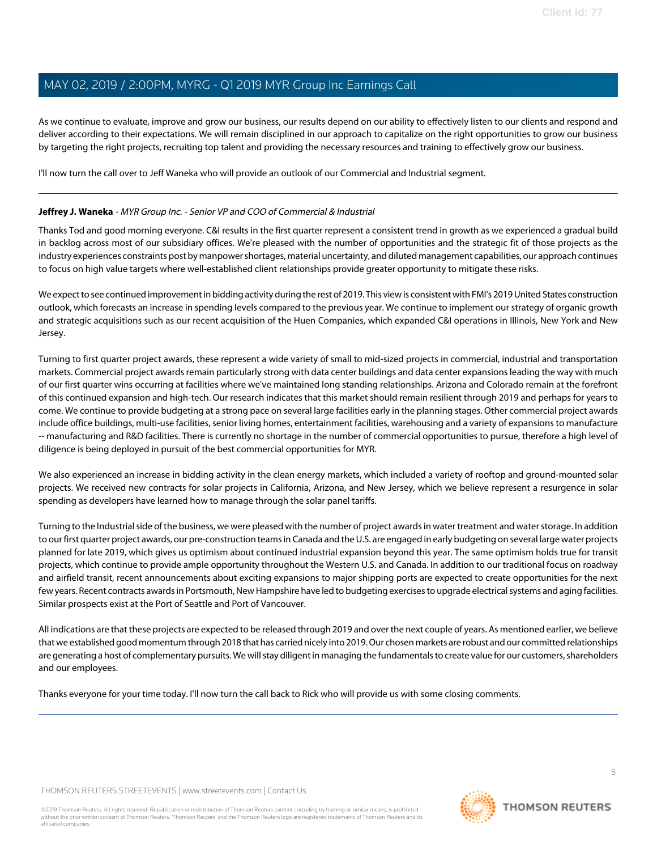As we continue to evaluate, improve and grow our business, our results depend on our ability to effectively listen to our clients and respond and deliver according to their expectations. We will remain disciplined in our approach to capitalize on the right opportunities to grow our business by targeting the right projects, recruiting top talent and providing the necessary resources and training to effectively grow our business.

<span id="page-4-0"></span>I'll now turn the call over to Jeff Waneka who will provide an outlook of our Commercial and Industrial segment.

# **Jeffrey J. Waneka** - MYR Group Inc. - Senior VP and COO of Commercial & Industrial

Thanks Tod and good morning everyone. C&I results in the first quarter represent a consistent trend in growth as we experienced a gradual build in backlog across most of our subsidiary offices. We're pleased with the number of opportunities and the strategic fit of those projects as the industry experiences constraints post by manpower shortages, material uncertainty, and diluted management capabilities, our approach continues to focus on high value targets where well-established client relationships provide greater opportunity to mitigate these risks.

We expect to see continued improvement in bidding activity during the rest of 2019. This view is consistent with FMI's 2019 United States construction outlook, which forecasts an increase in spending levels compared to the previous year. We continue to implement our strategy of organic growth and strategic acquisitions such as our recent acquisition of the Huen Companies, which expanded C&I operations in Illinois, New York and New Jersey.

Turning to first quarter project awards, these represent a wide variety of small to mid-sized projects in commercial, industrial and transportation markets. Commercial project awards remain particularly strong with data center buildings and data center expansions leading the way with much of our first quarter wins occurring at facilities where we've maintained long standing relationships. Arizona and Colorado remain at the forefront of this continued expansion and high-tech. Our research indicates that this market should remain resilient through 2019 and perhaps for years to come. We continue to provide budgeting at a strong pace on several large facilities early in the planning stages. Other commercial project awards include office buildings, multi-use facilities, senior living homes, entertainment facilities, warehousing and a variety of expansions to manufacture -- manufacturing and R&D facilities. There is currently no shortage in the number of commercial opportunities to pursue, therefore a high level of diligence is being deployed in pursuit of the best commercial opportunities for MYR.

We also experienced an increase in bidding activity in the clean energy markets, which included a variety of rooftop and ground-mounted solar projects. We received new contracts for solar projects in California, Arizona, and New Jersey, which we believe represent a resurgence in solar spending as developers have learned how to manage through the solar panel tariffs.

Turning to the Industrial side of the business, we were pleased with the number of project awards in water treatment and water storage. In addition to our first quarter project awards, our pre-construction teams in Canada and the U.S. are engaged in early budgeting on several large water projects planned for late 2019, which gives us optimism about continued industrial expansion beyond this year. The same optimism holds true for transit projects, which continue to provide ample opportunity throughout the Western U.S. and Canada. In addition to our traditional focus on roadway and airfield transit, recent announcements about exciting expansions to major shipping ports are expected to create opportunities for the next few years. Recent contracts awards in Portsmouth, New Hampshire have led to budgeting exercises to upgrade electrical systems and aging facilities. Similar prospects exist at the Port of Seattle and Port of Vancouver.

All indications are that these projects are expected to be released through 2019 and over the next couple of years. As mentioned earlier, we believe that we established good momentum through 2018 that has carried nicely into 2019. Our chosen markets are robust and our committed relationships are generating a host of complementary pursuits. We will stay diligent in managing the fundamentals to create value for our customers, shareholders and our employees.

Thanks everyone for your time today. I'll now turn the call back to Rick who will provide us with some closing comments.

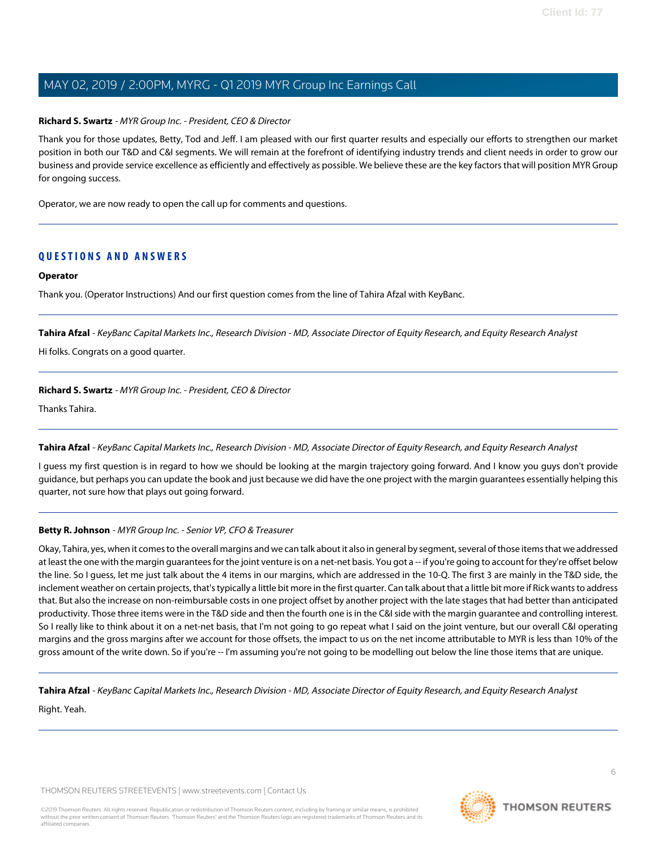## **Richard S. Swartz** - MYR Group Inc. - President, CEO & Director

Thank you for those updates, Betty, Tod and Jeff. I am pleased with our first quarter results and especially our efforts to strengthen our market position in both our T&D and C&I segments. We will remain at the forefront of identifying industry trends and client needs in order to grow our business and provide service excellence as efficiently and effectively as possible. We believe these are the key factors that will position MYR Group for ongoing success.

Operator, we are now ready to open the call up for comments and questions.

# **QUESTIONS AND ANSWERS**

#### **Operator**

<span id="page-5-0"></span>Thank you. (Operator Instructions) And our first question comes from the line of Tahira Afzal with KeyBanc.

**Tahira Afzal** - KeyBanc Capital Markets Inc., Research Division - MD, Associate Director of Equity Research, and Equity Research Analyst

Hi folks. Congrats on a good quarter.

#### **Richard S. Swartz** - MYR Group Inc. - President, CEO & Director

Thanks Tahira.

#### **Tahira Afzal** - KeyBanc Capital Markets Inc., Research Division - MD, Associate Director of Equity Research, and Equity Research Analyst

I guess my first question is in regard to how we should be looking at the margin trajectory going forward. And I know you guys don't provide guidance, but perhaps you can update the book and just because we did have the one project with the margin guarantees essentially helping this quarter, not sure how that plays out going forward.

#### **Betty R. Johnson** - MYR Group Inc. - Senior VP, CFO & Treasurer

Okay, Tahira, yes, when it comes to the overall margins and we can talk about it also in general by segment, several of those items that we addressed at least the one with the margin guarantees for the joint venture is on a net-net basis. You got a -- if you're going to account for they're offset below the line. So I guess, let me just talk about the 4 items in our margins, which are addressed in the 10-Q. The first 3 are mainly in the T&D side, the inclement weather on certain projects, that's typically a little bit more in the first quarter. Can talk about that a little bit more if Rick wants to address that. But also the increase on non-reimbursable costs in one project offset by another project with the late stages that had better than anticipated productivity. Those three items were in the T&D side and then the fourth one is in the C&I side with the margin guarantee and controlling interest. So I really like to think about it on a net-net basis, that I'm not going to go repeat what I said on the joint venture, but our overall C&I operating margins and the gross margins after we account for those offsets, the impact to us on the net income attributable to MYR is less than 10% of the gross amount of the write down. So if you're -- I'm assuming you're not going to be modelling out below the line those items that are unique.

**Tahira Afzal** - KeyBanc Capital Markets Inc., Research Division - MD, Associate Director of Equity Research, and Equity Research Analyst

Right. Yeah.

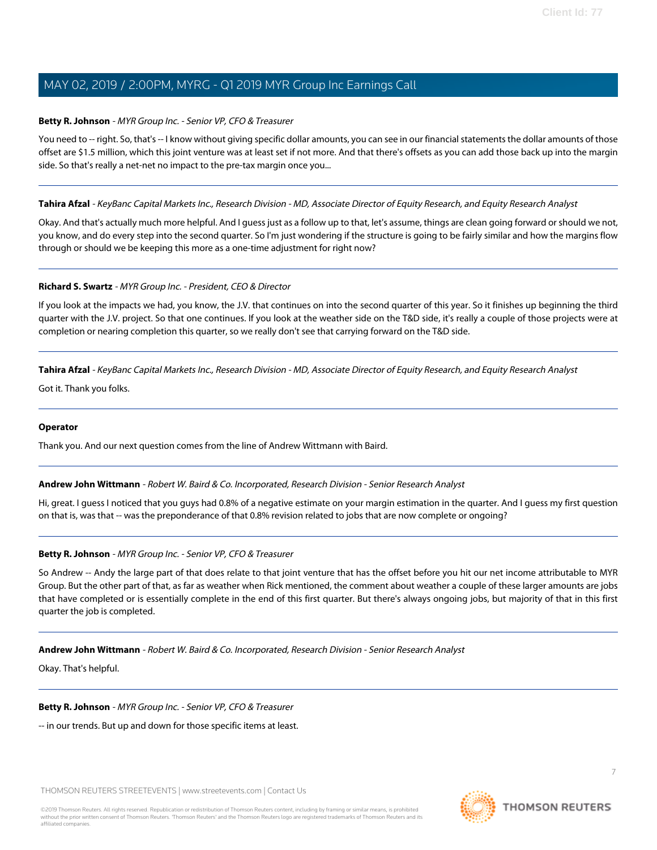#### **Betty R. Johnson** - MYR Group Inc. - Senior VP, CFO & Treasurer

You need to -- right. So, that's -- I know without giving specific dollar amounts, you can see in our financial statements the dollar amounts of those offset are \$1.5 million, which this joint venture was at least set if not more. And that there's offsets as you can add those back up into the margin side. So that's really a net-net no impact to the pre-tax margin once you...

#### **Tahira Afzal** - KeyBanc Capital Markets Inc., Research Division - MD, Associate Director of Equity Research, and Equity Research Analyst

Okay. And that's actually much more helpful. And I guess just as a follow up to that, let's assume, things are clean going forward or should we not, you know, and do every step into the second quarter. So I'm just wondering if the structure is going to be fairly similar and how the margins flow through or should we be keeping this more as a one-time adjustment for right now?

## **Richard S. Swartz** - MYR Group Inc. - President, CEO & Director

If you look at the impacts we had, you know, the J.V. that continues on into the second quarter of this year. So it finishes up beginning the third quarter with the J.V. project. So that one continues. If you look at the weather side on the T&D side, it's really a couple of those projects were at completion or nearing completion this quarter, so we really don't see that carrying forward on the T&D side.

**Tahira Afzal** - KeyBanc Capital Markets Inc., Research Division - MD, Associate Director of Equity Research, and Equity Research Analyst

Got it. Thank you folks.

#### **Operator**

<span id="page-6-0"></span>Thank you. And our next question comes from the line of Andrew Wittmann with Baird.

#### **Andrew John Wittmann** - Robert W. Baird & Co. Incorporated, Research Division - Senior Research Analyst

Hi, great. I guess I noticed that you guys had 0.8% of a negative estimate on your margin estimation in the quarter. And I guess my first question on that is, was that -- was the preponderance of that 0.8% revision related to jobs that are now complete or ongoing?

# **Betty R. Johnson** - MYR Group Inc. - Senior VP, CFO & Treasurer

So Andrew -- Andy the large part of that does relate to that joint venture that has the offset before you hit our net income attributable to MYR Group. But the other part of that, as far as weather when Rick mentioned, the comment about weather a couple of these larger amounts are jobs that have completed or is essentially complete in the end of this first quarter. But there's always ongoing jobs, but majority of that in this first quarter the job is completed.

**Andrew John Wittmann** - Robert W. Baird & Co. Incorporated, Research Division - Senior Research Analyst

Okay. That's helpful.

#### **Betty R. Johnson** - MYR Group Inc. - Senior VP, CFO & Treasurer

-- in our trends. But up and down for those specific items at least.

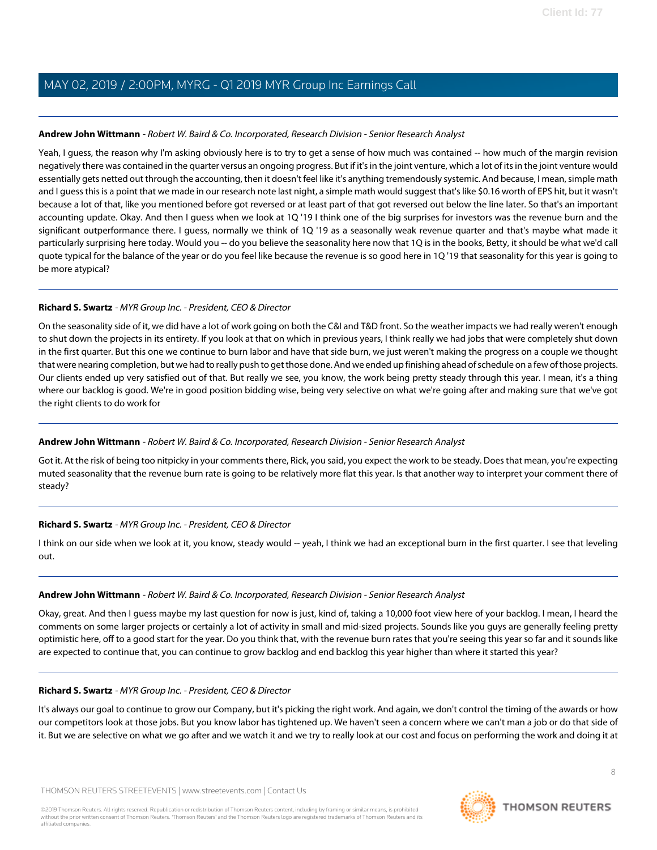#### **Andrew John Wittmann** - Robert W. Baird & Co. Incorporated, Research Division - Senior Research Analyst

Yeah, I guess, the reason why I'm asking obviously here is to try to get a sense of how much was contained -- how much of the margin revision negatively there was contained in the quarter versus an ongoing progress. But if it's in the joint venture, which a lot of its in the joint venture would essentially gets netted out through the accounting, then it doesn't feel like it's anything tremendously systemic. And because, I mean, simple math and I guess this is a point that we made in our research note last night, a simple math would suggest that's like \$0.16 worth of EPS hit, but it wasn't because a lot of that, like you mentioned before got reversed or at least part of that got reversed out below the line later. So that's an important accounting update. Okay. And then I guess when we look at 1Q '19 I think one of the big surprises for investors was the revenue burn and the significant outperformance there. I guess, normally we think of 1Q '19 as a seasonally weak revenue quarter and that's maybe what made it particularly surprising here today. Would you -- do you believe the seasonality here now that 1Q is in the books, Betty, it should be what we'd call quote typical for the balance of the year or do you feel like because the revenue is so good here in 1Q '19 that seasonality for this year is going to be more atypical?

## **Richard S. Swartz** - MYR Group Inc. - President, CEO & Director

On the seasonality side of it, we did have a lot of work going on both the C&I and T&D front. So the weather impacts we had really weren't enough to shut down the projects in its entirety. If you look at that on which in previous years, I think really we had jobs that were completely shut down in the first quarter. But this one we continue to burn labor and have that side burn, we just weren't making the progress on a couple we thought that were nearing completion, but we had to really push to get those done. And we ended up finishing ahead of schedule on a few of those projects. Our clients ended up very satisfied out of that. But really we see, you know, the work being pretty steady through this year. I mean, it's a thing where our backlog is good. We're in good position bidding wise, being very selective on what we're going after and making sure that we've got the right clients to do work for

#### **Andrew John Wittmann** - Robert W. Baird & Co. Incorporated, Research Division - Senior Research Analyst

Got it. At the risk of being too nitpicky in your comments there, Rick, you said, you expect the work to be steady. Does that mean, you're expecting muted seasonality that the revenue burn rate is going to be relatively more flat this year. Is that another way to interpret your comment there of steady?

# **Richard S. Swartz** - MYR Group Inc. - President, CEO & Director

I think on our side when we look at it, you know, steady would -- yeah, I think we had an exceptional burn in the first quarter. I see that leveling out.

# **Andrew John Wittmann** - Robert W. Baird & Co. Incorporated, Research Division - Senior Research Analyst

Okay, great. And then I guess maybe my last question for now is just, kind of, taking a 10,000 foot view here of your backlog. I mean, I heard the comments on some larger projects or certainly a lot of activity in small and mid-sized projects. Sounds like you guys are generally feeling pretty optimistic here, off to a good start for the year. Do you think that, with the revenue burn rates that you're seeing this year so far and it sounds like are expected to continue that, you can continue to grow backlog and end backlog this year higher than where it started this year?

#### **Richard S. Swartz** - MYR Group Inc. - President, CEO & Director

It's always our goal to continue to grow our Company, but it's picking the right work. And again, we don't control the timing of the awards or how our competitors look at those jobs. But you know labor has tightened up. We haven't seen a concern where we can't man a job or do that side of it. But we are selective on what we go after and we watch it and we try to really look at our cost and focus on performing the work and doing it at



8